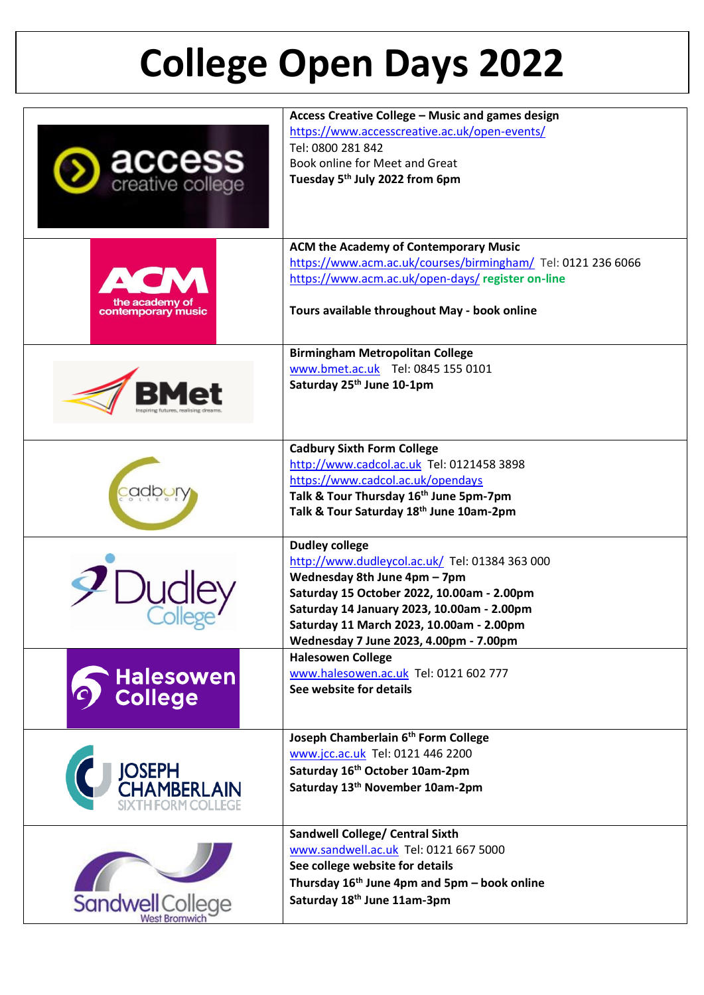## **College Open Days 2022**

|                                   | Access Creative College - Music and games design             |
|-----------------------------------|--------------------------------------------------------------|
|                                   | https://www.accesscreative.ac.uk/open-events/                |
|                                   | Tel: 0800 281 842                                            |
|                                   | Book online for Meet and Great                               |
| <b>access</b><br>creative college | Tuesday 5 <sup>th</sup> July 2022 from 6pm                   |
|                                   |                                                              |
|                                   |                                                              |
|                                   |                                                              |
|                                   | <b>ACM the Academy of Contemporary Music</b>                 |
|                                   |                                                              |
|                                   | https://www.acm.ac.uk/courses/birmingham/ Tel: 0121 236 6066 |
|                                   | https://www.acm.ac.uk/open-days/ register on-line            |
| the academy of                    |                                                              |
| contemporary music                | Tours available throughout May - book online                 |
|                                   |                                                              |
|                                   | <b>Birmingham Metropolitan College</b>                       |
|                                   | www.bmet.ac.uk Tel: 0845 155 0101                            |
|                                   |                                                              |
|                                   | Saturday 25 <sup>th</sup> June 10-1pm                        |
|                                   |                                                              |
|                                   |                                                              |
|                                   |                                                              |
|                                   | <b>Cadbury Sixth Form College</b>                            |
|                                   | http://www.cadcol.ac.uk Tel: 0121458 3898                    |
|                                   | https://www.cadcol.ac.uk/opendays                            |
|                                   | Talk & Tour Thursday 16th June 5pm-7pm                       |
|                                   | Talk & Tour Saturday 18th June 10am-2pm                      |
|                                   |                                                              |
|                                   | <b>Dudley college</b>                                        |
|                                   | http://www.dudleycol.ac.uk/ Tel: 01384 363 000               |
|                                   | Wednesday 8th June 4pm - 7pm                                 |
|                                   | Saturday 15 October 2022, 10.00am - 2.00pm                   |
|                                   | Saturday 14 January 2023, 10.00am - 2.00pm                   |
|                                   | Saturday 11 March 2023, 10.00am - 2.00pm                     |
|                                   | Wednesday 7 June 2023, 4.00pm - 7.00pm                       |
|                                   | <b>Halesowen College</b>                                     |
| <b>Halesowen</b>                  | www.halesowen.ac.uk Tel: 0121 602 777                        |
|                                   | See website for details                                      |
| <b>College</b>                    |                                                              |
|                                   |                                                              |
|                                   | Joseph Chamberlain 6th Form College                          |
|                                   | www.jcc.ac.uk Tel: 0121 446 2200                             |
|                                   | Saturday 16th October 10am-2pm                               |
| JOSEPH<br>CHAMBERLAIN             | Saturday 13 <sup>th</sup> November 10am-2pm                  |
|                                   |                                                              |
|                                   |                                                              |
|                                   | <b>Sandwell College/ Central Sixth</b>                       |
|                                   | www.sandwell.ac.uk Tel: 0121 667 5000                        |
|                                   |                                                              |
|                                   | See college website for details                              |
|                                   | Thursday 16 <sup>th</sup> June 4pm and 5pm - book online     |
| Sandwell College                  | Saturday 18th June 11am-3pm                                  |
|                                   |                                                              |